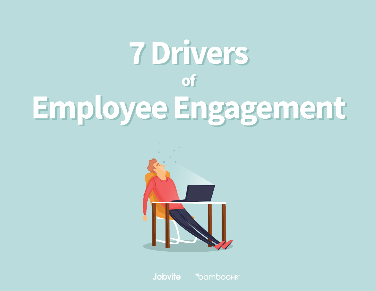# 7 Drivers **of** Employee Engagement



Jobvite | "bamboohr"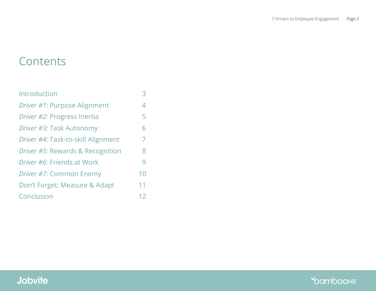# **Contents**

| Introduction                       |                |
|------------------------------------|----------------|
| Driver #1: Purpose Alignment       | $\overline{4}$ |
| Driver #2: Progress Inertia        | 5              |
| Driver #3: Task Autonomy           | 6              |
| Driver #4: Task-to-skill Alignment | 7              |
| Driver #5: Rewards & Recognition   | 8              |
| <i>Driver #6:</i> Friends at Work  | 9              |
| Driver #7: Common Enemy            | 10             |
| Don't Forget: Measure & Adapt      | 11             |
| Conclusion                         | 12             |

**bamboohr**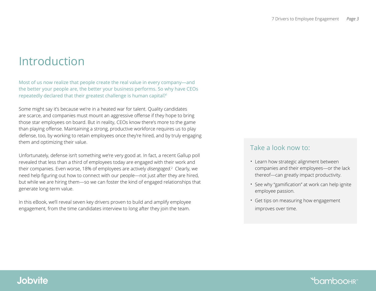# <span id="page-2-0"></span>Introduction

Most of us now realize that people create the real value in every company—and the better your people are, the better your business performs. So why have CEOs repeatedly declared that their greatest challenge is human capital?<sup>1</sup>

Some might say it's because we're in a heated war for talent. Quality candidates are scarce, and companies must mount an aggressive offense if they hope to bring those star employees on board. But in reality, CEOs know there's more to the game than playing offense. Maintaining a strong, productive workforce requires us to play defense, too, by working to retain employees once they're hired, and by truly engaging them and optimizing their value.

Unfortunately, defense isn't something we're very good at. In fact, a recent Gallup poll revealed that less than a third of employees today are engaged with their work and their companies. Even worse, 18% of employees are actively *disengaged*.<sup>2</sup> Clearly, we need help figuring out how to connect with our people—not just after they are hired, but while we are hiring them—so we can foster the kind of engaged relationships that generate long-term value.

In this eBook, we'll reveal seven key drivers proven to build and amplify employee engagement, from the time candidates interview to long after they join the team.

#### Take a look now to:

- Learn how strategic alignment between companies and their employees—or the lack thereof—can greatly impact productivity.
- See why "gamification" at work can help ignite employee passion.
- Get tips on measuring how engagement improves over time.

### **Jobvite**

### **\*bamboo**hr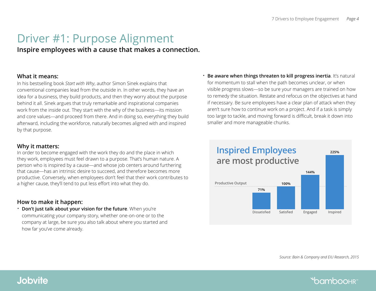# <span id="page-3-0"></span>Driver #1: Purpose Alignment

**Inspire employees with a cause that makes a connection.**

#### **What it means:**

In his bestselling book *Start with Why*, author Simon Sinek explains that conventional companies lead from the outside in. In other words, they have an idea for a business, they build products, and then they worry about the purpose behind it all. Sinek argues that truly remarkable and inspirational companies work from the inside out. They start with the why of the business—its mission and core values—and proceed from there. And in doing so, everything they build afterward, including the workforce, naturally becomes aligned with and inspired by that purpose.

#### **Why it matters:**

In order to become engaged with the work they do and the place in which they work, employees must feel drawn to a purpose. That's human nature. A person who is inspired by a cause—and whose job centers around furthering that cause—has an intrinsic desire to succeed, and therefore becomes more productive. Conversely, when employees don't feel that their work contributes to a higher cause, they'll tend to put less effort into what they do.

#### **How to make it happen:**

• **Don't just talk about your vision for the future**. When you're communicating your company story, whether one-on-one or to the company at large, be sure you also talk about where you started and how far you've come already.

**Be aware when things threaten to kill progress inertia**. It's natural for momentum to stall when the path becomes unclear, or when visible progress slows—so be sure your managers are trained on how to remedy the situation. Restate and refocus on the objectives at hand if necessary. Be sure employees have a clear plan of attack when they aren't sure how to continue work on a project. And if a task is simply too large to tackle, and moving forward is difficult, break it down into smaller and more manageable chunks.



*Source: Bain & Company and EIU Research, 2015* 

**bamboohr**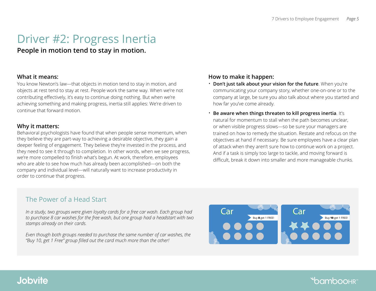# <span id="page-4-0"></span>Driver #2: Progress Inertia

**People in motion tend to stay in motion.** 

#### **What it means:**

You know Newton's law—that objects in motion tend to stay in motion, and objects at rest tend to stay at rest. People work the same way. When we're not contributing effectively, it's easy to continue doing nothing. But when we're achieving something and making progress, inertia still applies: We're driven to continue that forward motion.

#### **Why it matters:**

Behavioral psychologists have found that when people sense momentum, when they believe they are part-way to achieving a desirable objective, they gain a deeper feeling of engagement. They believe they're invested in the process, and they need to see it through to completion. In other words, when we see progress, we're more compelled to finish what's begun. At work, therefore, employees who are able to see how much has already been accomplished—on both the company and individual level—will naturally want to increase productivity in order to continue that progress.

#### **How to make it happen:**

- **Don't just talk about your vision for the future**. When you're communicating your company story, whether one-on-one or to the company at large, be sure you also talk about where you started and how far you've come already.
- **Be aware when things threaten to kill progress inertia**. It's natural for momentum to stall when the path becomes unclear, or when visible progress slows—so be sure your managers are trained on how to remedy the situation. Restate and refocus on the objectives at hand if necessary. Be sure employees have a clear plan of attack when they aren't sure how to continue work on a project. And if a task is simply too large to tackle, and moving forward is difficult, break it down into smaller and more manageable chunks.

### The Power of a Head Start

*In a study, two groups were given loyalty cards for a free car wash. Each group had to purchase 8 car washes for the free wash, but one group had a headstart with two stamps already on their cards.* 

*Even though both groups needed to purchase the same number of car washes, the "Buy 10, get 1 Free" group filled out the card much more than the other!* 

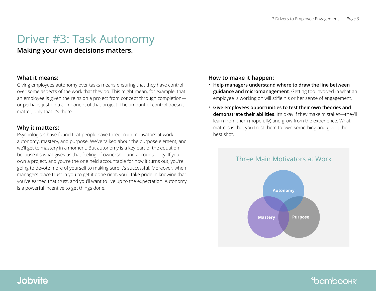# <span id="page-5-0"></span>Driver #3: Task Autonomy

#### **Making your own decisions matters.**

#### **What it means:**

Giving employees autonomy over tasks means ensuring that they have control over some aspects of the work that they do. This might mean, for example, that an employee is given the reins on a project from concept through completion or perhaps just on a component of that project. The amount of control doesn't matter, only that it's there.

#### **Why it matters:**

Psychologists have found that people have three main motivators at work: autonomy, mastery, and purpose. We've talked about the purpose element, and we'll get to mastery in a moment. But autonomy is a key part of the equation because it's what gives us that feeling of ownership and accountability. If you own a project, and you're the one held accountable for how it turns out, you're going to devote more of yourself to making sure it's successful. Moreover, when managers place trust in you to get it done right, you'll take pride in knowing that you've earned that trust, and you'll want to live up to the expectation. Autonomy is a powerful incentive to get things done.

#### **How to make it happen:**

- **Help managers understand where to draw the line between guidance and micromanagement**. Getting too involved in what an employee is working on will stifle his or her sense of engagement.
- **Give employees opportunities to test their own theories and demonstrate their abilities**. It's okay if they make mistakes—they'll learn from them (hopefully) and grow from the experience. What matters is that you trust them to own something and give it their best shot.



### **\*bamboohring**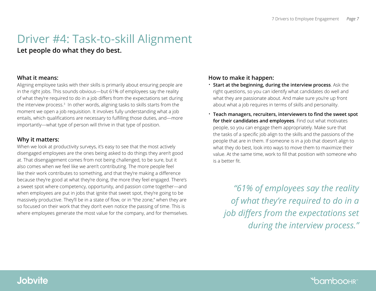# <span id="page-6-0"></span>Driver #4: Task-to-skill Alignment

**Let people do what they do best.** 

#### **What it means:**

Aligning employee tasks with their skills is primarily about ensuring people are in the right jobs. This sounds obvious—but 61% of employees say the reality of what they're required to do in a job differs from the expectations set during the interview process. $3\,$  In other words, aligning tasks to skills starts from the moment we open a job requisition. It involves fully understanding what a job entails, which qualifications are necessary to fulfilling those duties, and—more importantly—what type of person will thrive in that type of position.

#### **Why it matters:**

When we look at productivity surveys, it's easy to see that the most actively disengaged employees are the ones being asked to do things they aren't good at. That disengagement comes from not being challenged, to be sure, but it also comes when we feel like we aren't contributing. The more people feel like their work contributes to something, and that they're making a difference because they're good at what they're doing, the more they feel engaged. There's a sweet spot where competency, opportunity, and passion come together—and when employees are put in jobs that ignite that sweet spot, they're going to be massively productive. They'll be in a state of flow, or in "the zone," when they are so focused on their work that they don't even notice the passing of time. This is where employees generate the most value for the company, and for themselves.

#### **How to make it happen:**

- **Start at the beginning, during the interview process**. Ask the right questions, so you can identify what candidates do well and what they are passionate about. And make sure you're up front about what a job requires in terms of skills and personality.
- **Teach managers, recruiters, interviewers to find the sweet spot for their candidates and employees**. Find out what motivates people, so you can engage them appropriately. Make sure that the tasks of a specific job align to the skills and the passions of the people that are in them. If someone is in a job that doesn't align to what they do best, look into ways to move them to maximize their value. At the same time, work to fill that position with someone who is a better fit.

*"61% of employees say the reality of what they're required to do in a job differs from the expectations set during the interview process."*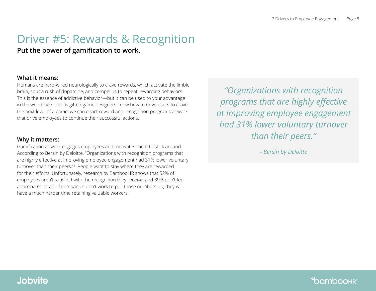# <span id="page-7-0"></span>Driver #5: Rewards & Recognition

#### **Put the power of gamification to work.**

#### **What it means:**

Humans are hard-wired neurologically to crave rewards, which activate the limbic brain, spur a rush of dopamine, and compel us to repeat rewarding behaviors. This is the essence of addictive behavior—but it can be used to your advantage in the workplace. Just as gifted game designers know how to drive users to crave the next level of a game, we can enact reward and recognition programs at work that drive employees to continue their successful actions.

#### **Why it matters:**

Gamification at work engages employees and motivates them to stick around. According to Bersin by Deloitte, "Organizations with recognition programs that are highly effective at improving employee engagement had 31% lower voluntary turnover than their peers."<sup>4</sup> People want to stay where they are rewarded for their efforts. Unfortunately, research by BambooHR shows that 52% of employees aren't satisfied with the recognition they receive, and 39% don't feel appreciated at all . If companies don't work to pull those numbers up, they will have a much harder time retaining valuable workers.

*"Organizations with recognition programs that are highly effective at improving employee engagement had 31% lower voluntary turnover than their peers."* 

*- Bersin by Deloitte*

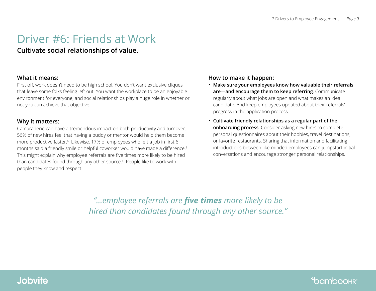# <span id="page-8-0"></span>Driver #6: Friends at Work

#### **Cultivate social relationships of value.**

#### **What it means:**

First off, work doesn't need to be high school. You don't want exclusive cliques that leave some folks feeling left out. You want the workplace to be an enjoyable environment for everyone, and social relationships play a huge role in whether or not you can achieve that objective.

#### **Why it matters:**

Camaraderie can have a tremendous impact on both productivity and turnover. 56% of new hires feel that having a buddy or mentor would help them become more productive faster.<sup>6</sup> Likewise, 17% of employees who left a job in first 6 months said a friendly smile or helpful coworker would have made a difference.<sup>7</sup> This might explain why employee referrals are five times more likely to be hired than candidates found through any other source.<sup>8</sup> People like to work with people they know and respect.

#### **How to make it happen:**

- **Make sure your employees know how valuable their referrals are**—**and encourage them to keep referring**. Communicate regularly about what jobs are open and what makes an ideal candidate. And keep employees updated about their referrals' progress in the application process.
- **Cultivate friendly relationships as a regular part of the onboarding process**. Consider asking new hires to complete personal questionnaires about their hobbies, travel destinations, or favorite restaurants. Sharing that information and facilitating introductions between like-minded employees can jumpstart initial conversations and encourage stronger personal relationships.

*"...employee referrals are five times more likely to be hired than candidates found through any other source."*

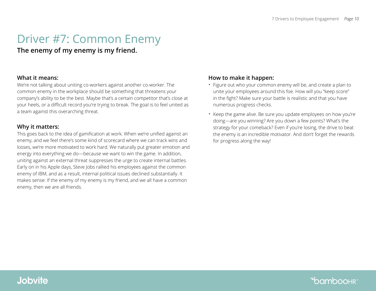# <span id="page-9-0"></span>Driver #7: Common Enemy

**The enemy of my enemy is my friend.** 

#### **What it means:**

We're not talking about uniting co-workers against another co-worker. The common enemy in the workplace should be something that threatens your company's ability to be the best. Maybe that's a certain competitor that's close at your heels, or a difficult record you're trying to break. The goal is to feel united as a team against this overarching threat.

#### **Why it matters:**

This goes back to the idea of gamification at work. When we're unified against an enemy, and we feel there's some kind of scorecard where we can track wins and losses, we're more motivated to work hard. We naturally put greater emotion and energy into everything we do—because we want to win the game. In addition, uniting against an external threat suppresses the urge to create internal battles. Early on in his Apple days, Steve Jobs rallied his employees against the common enemy of IBM, and as a result, internal political issues declined substantially. It makes sense: If the enemy of my enemy is my friend, and we all have a common enemy, then we are all friends.

#### **How to make it happen:**

- Figure out who your common enemy will be, and create a plan to unite your employees around this foe. How will you "keep score" in the fight? Make sure your battle is realistic and that you have numerous progress checks.
- Keep the game alive. Be sure you update employees on how you're doing—are you winning? Are you down a few points? What's the strategy for your comeback? Even if you're losing, the drive to beat the enemy is an incredible motivator. And don't forget the rewards for progress along the way!

### **Jobvite**

### **\*bamboohr**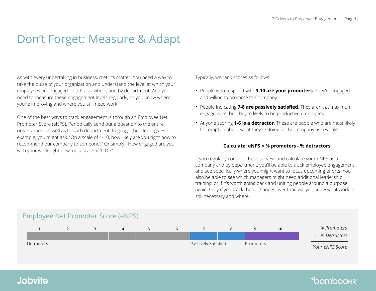# <span id="page-10-0"></span>Don't Forget: Measure & Adapt

As with every undertaking in business, metrics matter. You need a way to take the pulse of your organization and understand the level at which your employees are engaged—both as a whole, and by department. And you need to measure these engagement levels regularly, so you know where you're improving and where you still need work.

One of the best ways to track engagement is through an Employee Net Promoter Score (eNPS). Periodically send out a question to the entire organization, as well as to each department, to gauge their feelings. For example, you might ask, "On a scale of 1-10, how likely are you right now to recommend our company to someone?" Or simply, "How engaged are you with your work right now, on a scale of 1-10?"

Typically, we rank scores as follows:

- People who respond with **9-10 are your promoters**. They're engaged and willing to promote the company.
- People indicating **7-8 are passively satisfied**. They aren't at maximum engagement, but they're likely to be productive employees.
- Anyone scoring **1-6 is a detractor**. These are people who are most likely to complain about what they're doing or the company as a whole.

#### **Calculate: eNPS = % promoters - % detractors**

If you regularly conduct these surveys and calculate your eNPS as a company and by department, you'll be able to track employee engagement and see specifically where you might want to focus upcoming efforts. You'll also be able to see which managers might need additional leadership training, or if it's worth going back and uniting people around a purpose again. Only if you track these changes over time will you know what work is still necessary and where.



### **Jobvite**

### **\*bamboohri**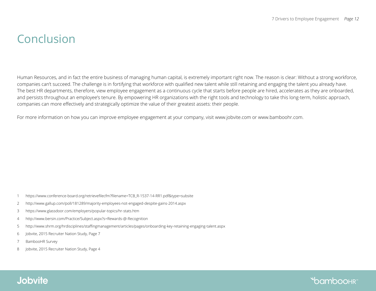**\*bamboohring** 

# <span id="page-11-0"></span>Conclusion

Human Resources, and in fact the entire business of managing human capital, is extremely important right now. The reason is clear: Without a strong workforce, companies can't succeed. The challenge is in fortifying that workforce with qualified new talent while still retaining and engaging the talent you already have. The best HR departments, therefore, view employee engagement as a continuous cycle that starts before people are hired, accelerates as they are onboarded, and persists throughout an employee's tenure. By empowering HR organizations with the right tools and technology to take this long-term, holistic approach, companies can more effectively and strategically optimize the value of their greatest assets: their people.

For more information on how you can improve employee engagement at your company, visit www.jobvite.com or www.bamboohr.com.

- 1 https://www.conference-board.org/retrievefilecfm?filename=TCB\_R-1537-14-RR1.pdf&type=subsite
- 2 http://www.gallup.com/poll/181289/majority-employees-not-engaged-despite-gains-2014.aspx
- 3 https://www.glassdoor.com/employers/popular-topics/hr-stats.htm
- 4 http://www.bersin.com/Practice/Subject.aspx?s=Rewards-@-Recognition
- 5 http://www.shrm.org/hrdisciplines/staffingmanagement/articles/pages/onboarding-key-retaining-engaging-talent.aspx
- 6 Jobvite, 2015 Recruiter Nation Study, Page 7
- 7 BambooHR Survey
- 8 Jobvite, 2015 Recruiter Nation Study, Page 4